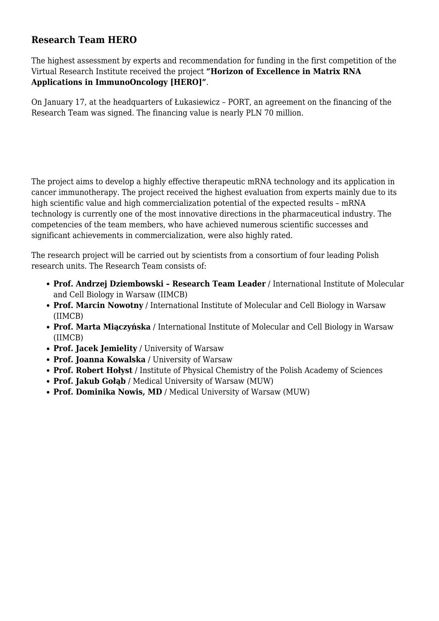## **Research Team HERO**

The highest assessment by experts and recommendation for funding in the first competition of the Virtual Research Institute received the project **"Horizon of Excellence in Matrix RNA Applications in ImmunoOncology [HERO]"**.

On January 17, at the headquarters of Łukasiewicz – PORT, an agreement on the financing of the Research Team was signed. The financing value is nearly PLN 70 million.

The project aims to develop a highly effective therapeutic mRNA technology and its application in cancer immunotherapy. The project received the highest evaluation from experts mainly due to its high scientific value and high commercialization potential of the expected results – mRNA technology is currently one of the most innovative directions in the pharmaceutical industry. The competencies of the team members, who have achieved numerous scientific successes and significant achievements in commercialization, were also highly rated.

The research project will be carried out by scientists from a consortium of four leading Polish research units. The Research Team consists of:

- **Prof. Andrzej Dziembowski Research Team Leader** / International Institute of Molecular and Cell Biology in Warsaw (IIMCB)
- **Prof. Marcin Nowotny** / International Institute of Molecular and Cell Biology in Warsaw (IIMCB)
- **Prof. Marta Miączyńska** / International Institute of Molecular and Cell Biology in Warsaw (IIMCB)
- **Prof. Jacek Jemielity** / University of Warsaw
- **Prof. Joanna Kowalska** / University of Warsaw
- **Prof. Robert Hołyst** / Institute of Physical Chemistry of the Polish Academy of Sciences
- **Prof. Jakub Gołąb** / Medical University of Warsaw (MUW)
- **Prof. Dominika Nowis, MD** / Medical University of Warsaw (MUW)